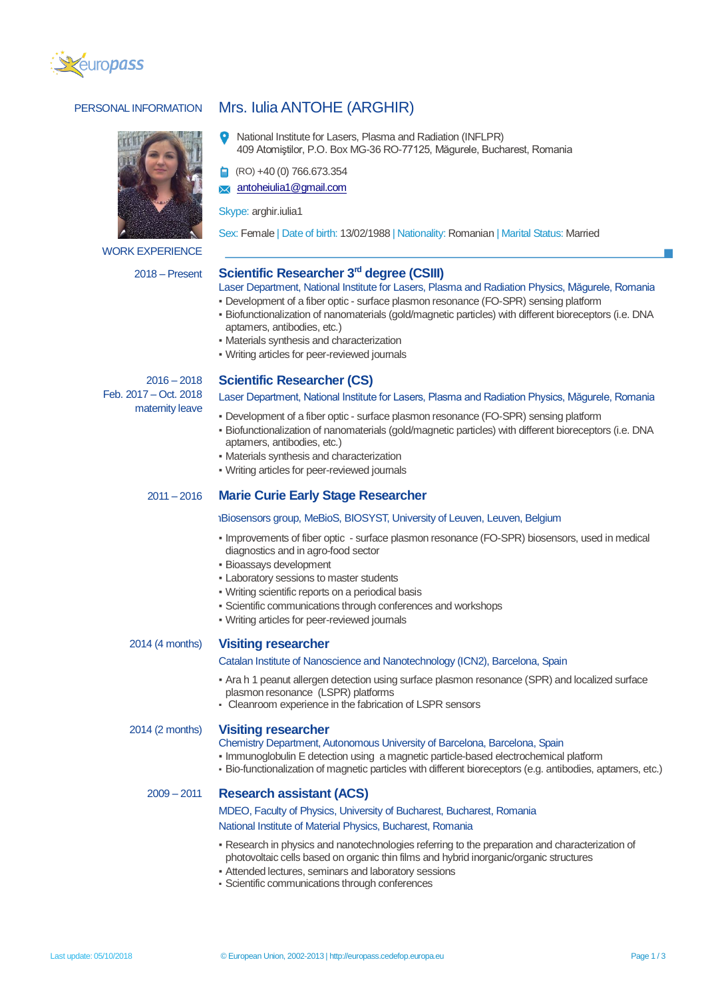



WORK EXPERIENCE

# PERSONAL INFORMATION Mrs. Iulia ANTOHE (ARGHIR)

National Institute for Lasers, Plasma and Radiation (INFLPR) 409 Atomiştilor, P.O. Box MG-36 RO-77125, Măgurele, Bucharest, Romania

(RO) +40 (0) 766.673.354

[antoheiulia1@gmail.com](mailto:antoheiulia1@gmail.com)

Skype: arghir.iulia1

Sex: Female | Date of birth: 13/02/1988 | Nationality: Romanian | Marital Status: Married

# 2018 – Present **Scientific Researcher 3rd degree (CSIII)**

- Laser Department, National Institute for Lasers, Plasma and Radiation Physics, Măgurele, Romania
- Development of a fiber optic surface plasmon resonance (FO-SPR) sensing platform
- Biofunctionalization of nanomaterials (gold/magnetic particles) with different bioreceptors (i.e. DNA aptamers, antibodies, etc.)
- Materials synthesis and characterization
- Writing articles for peer-reviewed journals

 $2016 - 2018$ Feb. 2017 – Oct. 2018 maternity leave

# **Scientific Researcher (CS)**

Laser Department, National Institute for Lasers, Plasma and Radiation Physics, Măgurele, Romania

- Development of a fiber optic surface plasmon resonance (FO-SPR) sensing platform
- Biofunctionalization of nanomaterials (gold/magnetic particles) with different bioreceptors (i.e. DNA aptamers, antibodies, etc.)
- **Materials synthesis and characterization**
- Writing articles for peer-reviewed journals

# 2011 – 2016 **Marie Curie Early Stage Researcher**

## *Biosensors group, MeBioS, BIOSYST, University of Leuven, Leuven, Belgium*

- Improvements of fiber optic surface plasmon resonance (FO-SPR) biosensors, used in medical diagnostics and in agro-food sector
- Bioassays development
- Laboratory sessions to master students
- Writing scientific reports on a periodical basis
- Scientific communications through conferences and workshops
- Writing articles for peer-reviewed journals

# 2014 (4 months) **Visiting researcher**

#### Catalan Institute of Nanoscience and Nanotechnology (ICN2), Barcelona, Spain

- Ara h 1 peanut allergen detection using surface plasmon resonance (SPR) and localized surface plasmon resonance (LSPR) platforms
- Cleanroom experience in the fabrication of LSPR sensors

### 2014 (2 months) **Visiting researcher**

#### Chemistry Department, Autonomous University of Barcelona, Barcelona, Spain

- . Immunoglobulin E detection using a magnetic particle-based electrochemical platform
- Bio-functionalization of magnetic particles with different bioreceptors (e.g. antibodies, aptamers, etc.)

# 2009 – 2011 **Research assistant (ACS)**

# MDEO, Faculty of Physics, University of Bucharest, Bucharest, Romania

# National Institute of Material Physics, Bucharest, Romania

- Research in physics and nanotechnologies referring to the preparation and characterization of photovoltaic cells based on organic thin films and hybrid inorganic/organic structures
- Attended lectures, seminars and laboratory sessions
- Scientific communications through conferences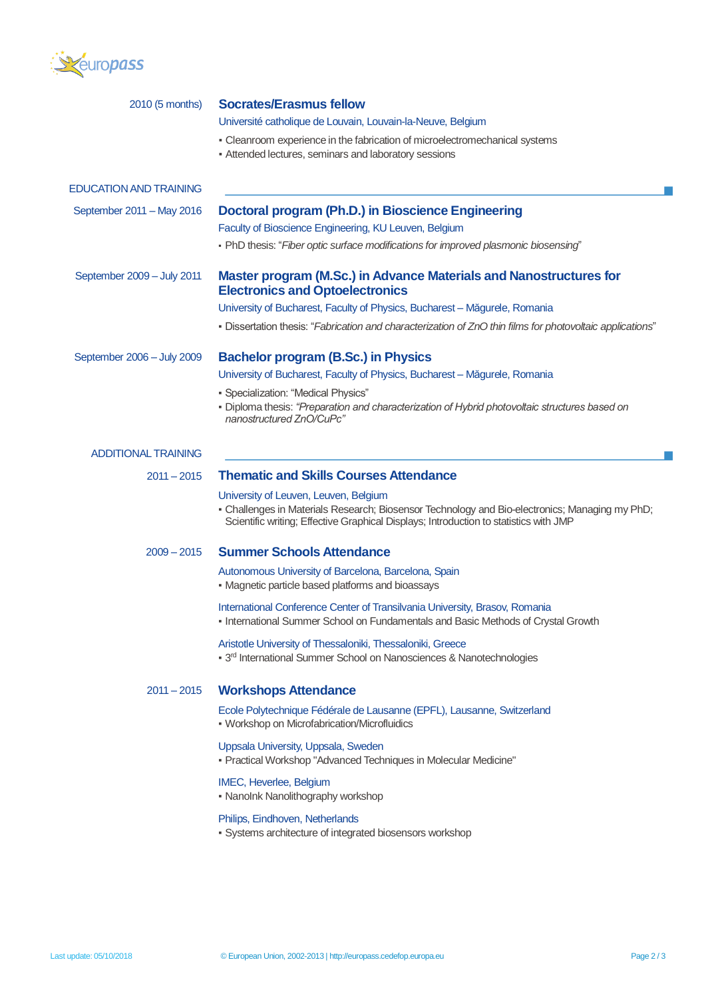

| 2010 (5 months)               | <b>Socrates/Erasmus fellow</b>                                                                                                                                                                                                                                                                                                                                                                                                                                      |  |  |  |
|-------------------------------|---------------------------------------------------------------------------------------------------------------------------------------------------------------------------------------------------------------------------------------------------------------------------------------------------------------------------------------------------------------------------------------------------------------------------------------------------------------------|--|--|--|
|                               | Université catholique de Louvain, Louvain-la-Neuve, Belgium<br>- Cleanroom experience in the fabrication of microelectromechanical systems<br>- Attended lectures, seminars and laboratory sessions                                                                                                                                                                                                                                                                 |  |  |  |
| <b>EDUCATION AND TRAINING</b> |                                                                                                                                                                                                                                                                                                                                                                                                                                                                     |  |  |  |
| September 2011 - May 2016     | Doctoral program (Ph.D.) in Bioscience Engineering<br>Faculty of Bioscience Engineering, KU Leuven, Belgium<br>• PhD thesis: "Fiber optic surface modifications for improved plasmonic biosensing"                                                                                                                                                                                                                                                                  |  |  |  |
| September 2009 - July 2011    | <b>Master program (M.Sc.) in Advance Materials and Nanostructures for</b><br><b>Electronics and Optoelectronics</b><br>University of Bucharest, Faculty of Physics, Bucharest - Măgurele, Romania<br>• Dissertation thesis: "Fabrication and characterization of ZnO thin films for photovoltaic applications"                                                                                                                                                      |  |  |  |
| September 2006 - July 2009    | Bachelor program (B.Sc.) in Physics<br>University of Bucharest, Faculty of Physics, Bucharest - Măgurele, Romania<br>• Specialization: "Medical Physics"<br>- Diploma thesis: "Preparation and characterization of Hybrid photovoltaic structures based on<br>nanostructured ZnO/CuPc"                                                                                                                                                                              |  |  |  |
| <b>ADDITIONAL TRAINING</b>    |                                                                                                                                                                                                                                                                                                                                                                                                                                                                     |  |  |  |
| $2011 - 2015$                 | <b>Thematic and Skills Courses Attendance</b><br>University of Leuven, Leuven, Belgium<br>- Challenges in Materials Research; Biosensor Technology and Bio-electronics; Managing my PhD;<br>Scientific writing; Effective Graphical Displays; Introduction to statistics with JMP                                                                                                                                                                                   |  |  |  |
| $2009 - 2015$                 | <b>Summer Schools Attendance</b><br>Autonomous University of Barcelona, Barcelona, Spain<br>• Magnetic particle based platforms and bioassays<br>International Conference Center of Transilvania University, Brasov, Romania<br>- International Summer School on Fundamentals and Basic Methods of Crystal Growth<br>Aristotle University of Thessaloniki, Thessaloniki, Greece<br>• 3 <sup>rd</sup> International Summer School on Nanosciences & Nanotechnologies |  |  |  |
| $2011 - 2015$                 | <b>Workshops Attendance</b><br>Ecole Polytechnique Fédérale de Lausanne (EPFL), Lausanne, Switzerland<br>• Workshop on Microfabrication/Microfluidics<br>Uppsala University, Uppsala, Sweden<br>- Practical Workshop "Advanced Techniques in Molecular Medicine"<br>IMEC, Heverlee, Belgium<br>• Nanolnk Nanolithography workshop<br>Philips, Eindhoven, Netherlands<br>· Systems architecture of integrated biosensors workshop                                    |  |  |  |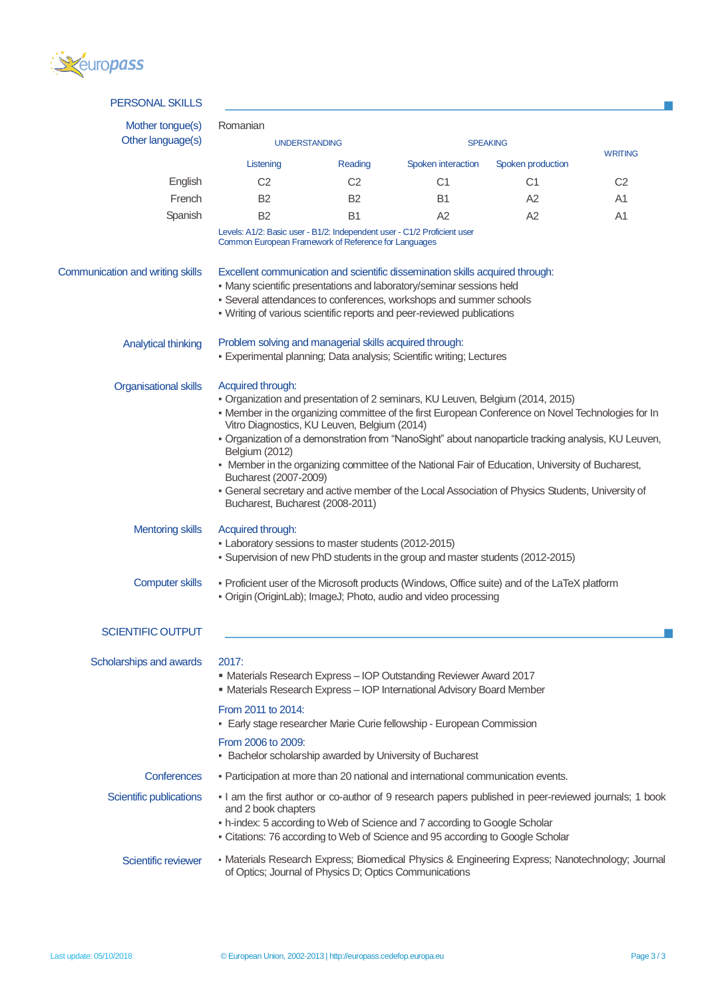

| <b>PERSONAL SKILLS</b>           |                                                                                                                                                                                                                                                                                                                                                                                                                                                                                                                                                                                                                                                          |                |                    |                   |                |  |  |
|----------------------------------|----------------------------------------------------------------------------------------------------------------------------------------------------------------------------------------------------------------------------------------------------------------------------------------------------------------------------------------------------------------------------------------------------------------------------------------------------------------------------------------------------------------------------------------------------------------------------------------------------------------------------------------------------------|----------------|--------------------|-------------------|----------------|--|--|
| Mother tongue(s)                 | Romanian                                                                                                                                                                                                                                                                                                                                                                                                                                                                                                                                                                                                                                                 |                |                    |                   |                |  |  |
| Other language(s)                | <b>UNDERSTANDING</b>                                                                                                                                                                                                                                                                                                                                                                                                                                                                                                                                                                                                                                     |                | <b>SPEAKING</b>    |                   |                |  |  |
|                                  | Listening                                                                                                                                                                                                                                                                                                                                                                                                                                                                                                                                                                                                                                                | Reading        | Spoken interaction | Spoken production | <b>WRITING</b> |  |  |
| English                          | C <sub>2</sub>                                                                                                                                                                                                                                                                                                                                                                                                                                                                                                                                                                                                                                           | C <sub>2</sub> | C <sub>1</sub>     | C <sub>1</sub>    | C <sub>2</sub> |  |  |
| French                           | <b>B2</b>                                                                                                                                                                                                                                                                                                                                                                                                                                                                                                                                                                                                                                                | B <sub>2</sub> | <b>B1</b>          | A2                | A <sub>1</sub> |  |  |
| Spanish                          | <b>B2</b>                                                                                                                                                                                                                                                                                                                                                                                                                                                                                                                                                                                                                                                | <b>B1</b>      | A2                 | A2                | A <sub>1</sub> |  |  |
|                                  | Levels: A1/2: Basic user - B1/2: Independent user - C1/2 Proficient user<br>Common European Framework of Reference for Languages                                                                                                                                                                                                                                                                                                                                                                                                                                                                                                                         |                |                    |                   |                |  |  |
| Communication and writing skills | Excellent communication and scientific dissemination skills acquired through:<br>• Many scientific presentations and laboratory/seminar sessions held<br>• Several attendances to conferences, workshops and summer schools<br>- Writing of various scientific reports and peer-reviewed publications                                                                                                                                                                                                                                                                                                                                                    |                |                    |                   |                |  |  |
| <b>Analytical thinking</b>       | Problem solving and managerial skills acquired through:<br>· Experimental planning; Data analysis; Scientific writing; Lectures                                                                                                                                                                                                                                                                                                                                                                                                                                                                                                                          |                |                    |                   |                |  |  |
| <b>Organisational skills</b>     | Acquired through:<br>• Organization and presentation of 2 seminars, KU Leuven, Belgium (2014, 2015)<br>- Member in the organizing committee of the first European Conference on Novel Technologies for In<br>Vitro Diagnostics, KU Leuven, Belgium (2014)<br>- Organization of a demonstration from "NanoSight" about nanoparticle tracking analysis, KU Leuven,<br>Belgium (2012)<br>- Member in the organizing committee of the National Fair of Education, University of Bucharest,<br>Bucharest (2007-2009)<br>- General secretary and active member of the Local Association of Physics Students, University of<br>Bucharest, Bucharest (2008-2011) |                |                    |                   |                |  |  |
| <b>Mentoring skills</b>          | Acquired through:<br>• Laboratory sessions to master students (2012-2015)<br>• Supervision of new PhD students in the group and master students (2012-2015)                                                                                                                                                                                                                                                                                                                                                                                                                                                                                              |                |                    |                   |                |  |  |
| <b>Computer skills</b>           | - Proficient user of the Microsoft products (Windows, Office suite) and of the LaTeX platform<br>· Origin (OriginLab); ImageJ; Photo, audio and video processing                                                                                                                                                                                                                                                                                                                                                                                                                                                                                         |                |                    |                   |                |  |  |
| <b>SCIENTIFIC OUTPUT</b>         |                                                                                                                                                                                                                                                                                                                                                                                                                                                                                                                                                                                                                                                          |                |                    |                   |                |  |  |
| Scholarships and awards          | 2017:<br>• Materials Research Express - IOP Outstanding Reviewer Award 2017<br>• Materials Research Express - IOP International Advisory Board Member                                                                                                                                                                                                                                                                                                                                                                                                                                                                                                    |                |                    |                   |                |  |  |
|                                  | From 2011 to 2014:<br>- Early stage researcher Marie Curie fellowship - European Commission                                                                                                                                                                                                                                                                                                                                                                                                                                                                                                                                                              |                |                    |                   |                |  |  |
|                                  | From 2006 to 2009:<br>• Bachelor scholarship awarded by University of Bucharest                                                                                                                                                                                                                                                                                                                                                                                                                                                                                                                                                                          |                |                    |                   |                |  |  |
| Conferences                      | - Participation at more than 20 national and international communication events.                                                                                                                                                                                                                                                                                                                                                                                                                                                                                                                                                                         |                |                    |                   |                |  |  |
| Scientific publications          | I am the first author or co-author of 9 research papers published in peer-reviewed journals; 1 book<br>and 2 book chapters<br>- h-index: 5 according to Web of Science and 7 according to Google Scholar<br>- Citations: 76 according to Web of Science and 95 according to Google Scholar                                                                                                                                                                                                                                                                                                                                                               |                |                    |                   |                |  |  |
| Scientific reviewer              | • Materials Research Express; Biomedical Physics & Engineering Express; Nanotechnology; Journal<br>of Optics; Journal of Physics D; Optics Communications                                                                                                                                                                                                                                                                                                                                                                                                                                                                                                |                |                    |                   |                |  |  |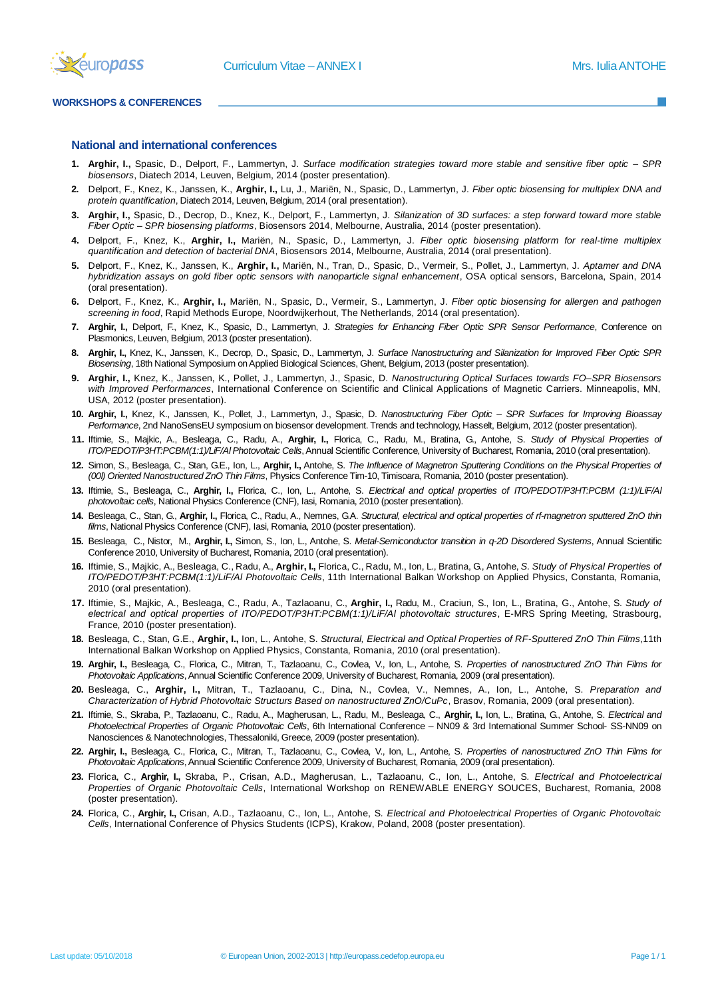

#### **WORKSHOPS & CONFERENCES**

#### **National and international conferences**

- **1. Arghir, I.,** Spasic, D., Delport, F., Lammertyn, J. *Surface modification strategies toward more stable and sensitive fiber optic – SPR biosensors*, Diatech 2014, Leuven, Belgium, 2014 (poster presentation).
- **2.** Delport, F., Knez, K., Janssen, K., **Arghir, I.,** Lu, J., Mariën, N., Spasic, D., Lammertyn, J. *Fiber optic biosensing for multiplex DNA and protein quantification*, Diatech 2014, Leuven, Belgium, 2014 (oral presentation).
- **3. Arghir, I.,** Spasic, D., Decrop, D., Knez, K., Delport, F., Lammertyn, J. *Silanization of 3D surfaces: a step forward toward more stable Fiber Optic – SPR biosensing platforms*, Biosensors 2014, Melbourne, Australia, 2014 (poster presentation).
- **4.** Delport, F., Knez, K., **Arghir, I.,** Mariën, N., Spasic, D., Lammertyn, J. *Fiber optic biosensing platform for real-time multiplex quantification and detection of bacterial DNA*, Biosensors 2014, Melbourne, Australia, 2014 (oral presentation).
- **5.** Delport, F., Knez, K., Janssen, K., **Arghir, I.,** Mariën, N., Tran, D., Spasic, D., Vermeir, S., Pollet, J., Lammertyn, J. *Aptamer and DNA hybridization assays on gold fiber optic sensors with nanoparticle signal enhancement*, OSA optical sensors, Barcelona, Spain, 2014 (oral presentation).
- **6.** Delport, F., Knez, K., **Arghir, I.,** Mariën, N., Spasic, D., Vermeir, S., Lammertyn, J. *Fiber optic biosensing for allergen and pathogen screening in food*, Rapid Methods Europe, Noordwijkerhout, The Netherlands, 2014 (oral presentation).
- **7. Arghir, I.,** Delport, F., Knez, K., Spasic, D., Lammertyn, J. *Strategies for Enhancing Fiber Optic SPR Sensor Performance*, Conference on Plasmonics, Leuven, Belgium, 2013 (poster presentation).
- **8. Arghir, I.,** Knez, K., Janssen, K., Decrop, D., Spasic, D., Lammertyn, J. *Surface Nanostructuring and Silanization for Improved Fiber Optic SPR Biosensing*, 18th National Symposium on Applied Biological Sciences, Ghent, Belgium, 2013 (poster presentation).
- **9. Arghir, I.,** Knez, K., Janssen, K., Pollet, J., Lammertyn, J., Spasic, D. *Nanostructuring Optical Surfaces towards FO–SPR Biosensors with Improved Performances*, International Conference on Scientific and Clinical Applications of Magnetic Carriers. Minneapolis, MN, USA, 2012 (poster presentation).
- **10. Arghir, I.,** Knez, K., Janssen, K., Pollet, J., Lammertyn, J., Spasic, D. *Nanostructuring Fiber Optic – SPR Surfaces for Improving Bioassay Performance*, 2nd NanoSensEU symposium on biosensor development. Trends and technology, Hasselt, Belgium, 2012 (poster presentation).
- **11.** Iftimie, S., Majkic, A., Besleaga, C., Radu, A., **Arghir, I.,** Florica, C., Radu, M., Bratina, G., Antohe, S. *Study of Physical Properties of ITO/PEDOT/P3HT:PCBM(1:1)/LiF/Al Photovoltaic Cells*, Annual Scientific Conference, University of Bucharest, Romania, 2010 (oral presentation).
- **12.** Simon, S., Besleaga, C., Stan, G.E., Ion, L., **Arghir, I.,** Antohe, S. *The Influence of Magnetron Sputtering Conditions on the Physical Properties of (00l) Oriented Nanostructured ZnO Thin Films*, Physics Conference Tim-10, Timisoara, Romania, 2010 (poster presentation).
- **13.** Iftimie, S., Besleaga, C., **Arghir, I.,** Florica, C., Ion, L., Antohe, S. *Electrical and optical properties of ITO/PEDOT/P3HT:PCBM (1:1)/LiF/Al photovoltaic cells*, National Physics Conference (CNF), Iasi, Romania, 2010 (poster presentation).
- **14.** Besleaga, C., Stan, G., **Arghir, I.,** Florica, C., Radu, A., Nemnes, G.A. *Structural, electrical and optical properties of rf-magnetron sputtered ZnO thin films*, National Physics Conference (CNF), Iasi, Romania, 2010 (poster presentation).
- **15.** Besleaga, C., Nistor, M., **Arghir, I.,** Simon, S., Ion, L., Antohe, S. *Metal-Semiconductor transition in q-2D Disordered Systems*, Annual Scientific Conference 2010, University of Bucharest, Romania, 2010 (oral presentation).
- **16.** Iftimie, S., Majkic, A., Besleaga, C., Radu, A., **Arghir, I.,** Florica, C., Radu, M., Ion, L., Bratina, G., Antohe, *S. Study of Physical Properties of ITO/PEDOT/P3HT:PCBM(1:1)/LiF/Al Photovoltaic Cells*, 11th International Balkan Workshop on Applied Physics, Constanta, Romania, 2010 (oral presentation).
- **17.** Iftimie, S., Majkic, A., Besleaga, C., Radu, A., Tazlaoanu, C., **Arghir, I.,** Radu, M., Craciun, S., Ion, L., Bratina, G., Antohe, S. *Study of electrical and optical properties of ITO/PEDOT/P3HT:PCBM(1:1)/LiF/Al photovoltaic structures*, E-MRS Spring Meeting, Strasbourg, France, 2010 (poster presentation).
- **18.** Besleaga, C., Stan, G.E., **Arghir, I.,** Ion, L., Antohe, S. *Structural, Electrical and Optical Properties of RF-Sputtered ZnO Thin Films*,11th International Balkan Workshop on Applied Physics, Constanta, Romania, 2010 (oral presentation).
- **19. Arghir, I.,** Besleaga, C., Florica, C., Mitran, T., Tazlaoanu, C., Covlea, V., Ion, L., Antohe, S. *Properties of nanostructured ZnO Thin Films for Photovoltaic Applications*, Annual Scientific Conference 2009, University of Bucharest, Romania, 2009 (oral presentation).
- **20.** Besleaga, C., **Arghir, I.,** Mitran, T., Tazlaoanu, C., Dina, N., Covlea, V., Nemnes, A., Ion, L., Antohe, S. *Preparation and Characterization of Hybrid Photovoltaic Structurs Based on nanostructured ZnO/CuPc*, Brasov, Romania, 2009 (oral presentation).
- **21.** Iftimie, S., Skraba, P., Tazlaoanu, C., Radu, A., Magherusan, L., Radu, M., Besleaga, C., **Arghir, I.,** Ion, L., Bratina, G., Antohe, S. *Electrical and Photoelectrical Properties of Organic Photovoltaic Cells*, 6th International Conference – NN09 & 3rd International Summer School- SS-NN09 on Nanosciences & Nanotechnologies, Thessaloniki, Greece, 2009 (poster presentation).
- **22. Arghir, I.,** Besleaga, C., Florica, C., Mitran, T., Tazlaoanu, C., Covlea, V., Ion, L., Antohe, S. *Properties of nanostructured ZnO Thin Films for Photovoltaic Applications*, Annual Scientific Conference 2009, University of Bucharest, Romania, 2009 (oral presentation).
- **23.** Florica, C., **Arghir, I.,** Skraba, P., Crisan, A.D., Magherusan, L., Tazlaoanu, C., Ion, L., Antohe, S*. Electrical and Photoelectrical Properties of Organic Photovoltaic Cells*, International Workshop on RENEWABLE ENERGY SOUCES, Bucharest, Romania, 2008 (poster presentation).
- **24.** Florica, C., **Arghir, I.,** Crisan, A.D., Tazlaoanu, C., Ion, L., Antohe, S*. Electrical and Photoelectrical Properties of Organic Photovoltaic Cells*, International Conference of Physics Students (ICPS), Krakow, Poland, 2008 (poster presentation).